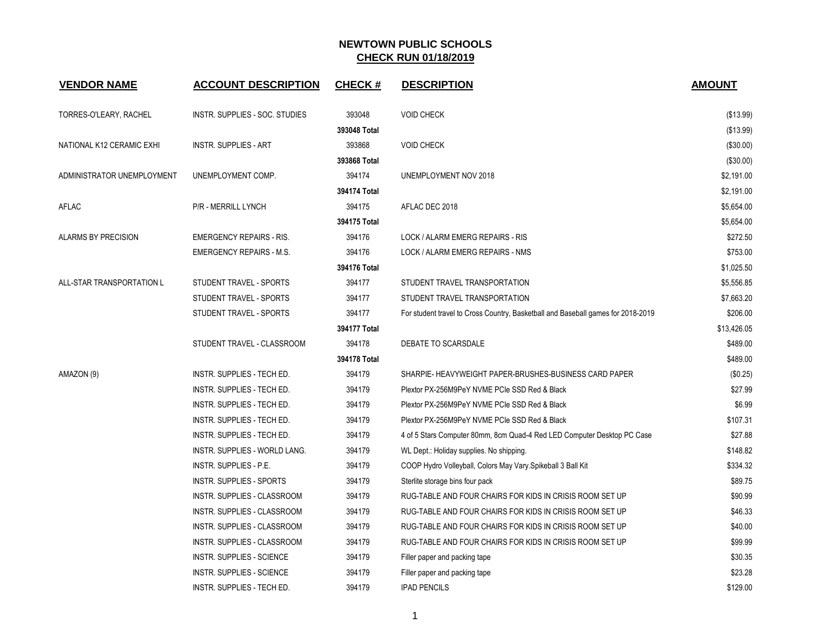| <b>VENDOR NAME</b>         | <b>ACCOUNT DESCRIPTION</b>        | <b>CHECK#</b> | <b>DESCRIPTION</b>                                                               | <b>AMOUNT</b> |
|----------------------------|-----------------------------------|---------------|----------------------------------------------------------------------------------|---------------|
| TORRES-O'LEARY, RACHEL     | INSTR. SUPPLIES - SOC. STUDIES    | 393048        | <b>VOID CHECK</b>                                                                | (\$13.99)     |
|                            |                                   | 393048 Total  |                                                                                  | (\$13.99)     |
| NATIONAL K12 CERAMIC EXHI  | <b>INSTR. SUPPLIES - ART</b>      | 393868        | <b>VOID CHECK</b>                                                                | (\$30.00)     |
|                            |                                   | 393868 Total  |                                                                                  | (\$30.00)     |
| ADMINISTRATOR UNEMPLOYMENT | UNEMPLOYMENT COMP.                | 394174        | UNEMPLOYMENT NOV 2018                                                            | \$2,191.00    |
|                            |                                   | 394174 Total  |                                                                                  | \$2,191.00    |
| AFLAC                      | P/R - MERRILL LYNCH               | 394175        | AFLAC DEC 2018                                                                   | \$5,654.00    |
|                            |                                   | 394175 Total  |                                                                                  | \$5,654.00    |
| ALARMS BY PRECISION        | <b>EMERGENCY REPAIRS - RIS.</b>   | 394176        | LOCK / ALARM EMERG REPAIRS - RIS                                                 | \$272.50      |
|                            | <b>EMERGENCY REPAIRS - M.S.</b>   | 394176        | LOCK / ALARM EMERG REPAIRS - NMS                                                 | \$753.00      |
|                            |                                   | 394176 Total  |                                                                                  | \$1,025.50    |
| ALL-STAR TRANSPORTATION L  | STUDENT TRAVEL - SPORTS           | 394177        | STUDENT TRAVEL TRANSPORTATION                                                    | \$5,556.85    |
|                            | STUDENT TRAVEL - SPORTS           | 394177        | STUDENT TRAVEL TRANSPORTATION                                                    | \$7,663.20    |
|                            | STUDENT TRAVEL - SPORTS           | 394177        | For student travel to Cross Country, Basketball and Baseball games for 2018-2019 | \$206.00      |
|                            |                                   | 394177 Total  |                                                                                  | \$13,426.05   |
|                            | STUDENT TRAVEL - CLASSROOM        | 394178        | DEBATE TO SCARSDALE                                                              | \$489.00      |
|                            |                                   | 394178 Total  |                                                                                  | \$489.00      |
| AMAZON (9)                 | INSTR. SUPPLIES - TECH ED.        | 394179        | SHARPIE- HEAVYWEIGHT PAPER-BRUSHES-BUSINESS CARD PAPER                           | (\$0.25)      |
|                            | INSTR. SUPPLIES - TECH ED.        | 394179        | Plextor PX-256M9PeY NVME PCIe SSD Red & Black                                    | \$27.99       |
|                            | <b>INSTR. SUPPLIES - TECH ED.</b> | 394179        | Plextor PX-256M9PeY NVME PCIe SSD Red & Black                                    | \$6.99        |
|                            | INSTR. SUPPLIES - TECH ED.        | 394179        | Plextor PX-256M9PeY NVME PCIe SSD Red & Black                                    | \$107.31      |
|                            | INSTR. SUPPLIES - TECH ED.        | 394179        | 4 of 5 Stars Computer 80mm, 8cm Quad-4 Red LED Computer Desktop PC Case          | \$27.88       |
|                            | INSTR. SUPPLIES - WORLD LANG.     | 394179        | WL Dept.: Holiday supplies. No shipping.                                         | \$148.82      |
|                            | INSTR. SUPPLIES - P.E.            | 394179        | COOP Hydro Volleyball, Colors May Vary Spikeball 3 Ball Kit                      | \$334.32      |
|                            | INSTR. SUPPLIES - SPORTS          | 394179        | Sterlite storage bins four pack                                                  | \$89.75       |
|                            | INSTR. SUPPLIES - CLASSROOM       | 394179        | RUG-TABLE AND FOUR CHAIRS FOR KIDS IN CRISIS ROOM SET UP                         | \$90.99       |
|                            | INSTR. SUPPLIES - CLASSROOM       | 394179        | RUG-TABLE AND FOUR CHAIRS FOR KIDS IN CRISIS ROOM SET UP                         | \$46.33       |
|                            | INSTR. SUPPLIES - CLASSROOM       | 394179        | RUG-TABLE AND FOUR CHAIRS FOR KIDS IN CRISIS ROOM SET UP                         | \$40.00       |
|                            | INSTR. SUPPLIES - CLASSROOM       | 394179        | RUG-TABLE AND FOUR CHAIRS FOR KIDS IN CRISIS ROOM SET UP                         | \$99.99       |
|                            | <b>INSTR. SUPPLIES - SCIENCE</b>  | 394179        | Filler paper and packing tape                                                    | \$30.35       |
|                            | <b>INSTR. SUPPLIES - SCIENCE</b>  | 394179        | Filler paper and packing tape                                                    | \$23.28       |
|                            | INSTR. SUPPLIES - TECH ED.        | 394179        | <b>IPAD PENCILS</b>                                                              | \$129.00      |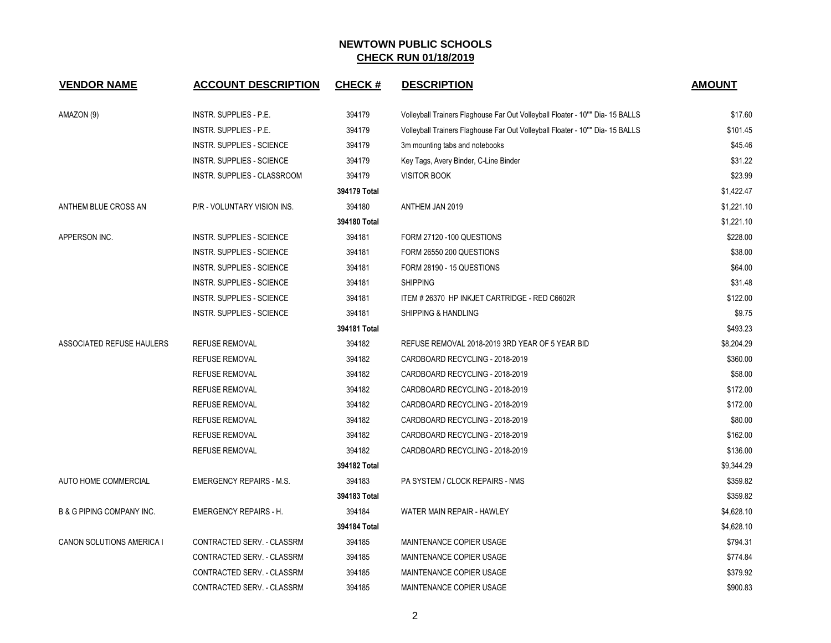| <b>VENDOR NAME</b>                   | <b>ACCOUNT DESCRIPTION</b>         | <b>CHECK#</b> | <b>DESCRIPTION</b>                                                            | <b>AMOUNT</b> |
|--------------------------------------|------------------------------------|---------------|-------------------------------------------------------------------------------|---------------|
| AMAZON (9)                           | <b>INSTR. SUPPLIES - P.E.</b>      | 394179        | Volleyball Trainers Flaghouse Far Out Volleyball Floater - 10"" Dia- 15 BALLS | \$17.60       |
|                                      | <b>INSTR. SUPPLIES - P.E.</b>      | 394179        | Volleyball Trainers Flaghouse Far Out Volleyball Floater - 10"" Dia- 15 BALLS | \$101.45      |
|                                      | <b>INSTR. SUPPLIES - SCIENCE</b>   | 394179        | 3m mounting tabs and notebooks                                                | \$45.46       |
|                                      | INSTR. SUPPLIES - SCIENCE          | 394179        | Key Tags, Avery Binder, C-Line Binder                                         | \$31.22       |
|                                      | <b>INSTR. SUPPLIES - CLASSROOM</b> | 394179        | <b>VISITOR BOOK</b>                                                           | \$23.99       |
|                                      |                                    | 394179 Total  |                                                                               | \$1,422.47    |
| ANTHEM BLUE CROSS AN                 | P/R - VOLUNTARY VISION INS.        | 394180        | ANTHEM JAN 2019                                                               | \$1,221.10    |
|                                      |                                    | 394180 Total  |                                                                               | \$1,221.10    |
| APPERSON INC.                        | <b>INSTR. SUPPLIES - SCIENCE</b>   | 394181        | FORM 27120 -100 QUESTIONS                                                     | \$228.00      |
|                                      | <b>INSTR. SUPPLIES - SCIENCE</b>   | 394181        | FORM 26550 200 QUESTIONS                                                      | \$38.00       |
|                                      | <b>INSTR. SUPPLIES - SCIENCE</b>   | 394181        | FORM 28190 - 15 QUESTIONS                                                     | \$64.00       |
|                                      | <b>INSTR. SUPPLIES - SCIENCE</b>   | 394181        | <b>SHIPPING</b>                                                               | \$31.48       |
|                                      | <b>INSTR. SUPPLIES - SCIENCE</b>   | 394181        | ITEM # 26370 HP INKJET CARTRIDGE - RED C6602R                                 | \$122.00      |
|                                      | <b>INSTR. SUPPLIES - SCIENCE</b>   | 394181        | SHIPPING & HANDLING                                                           | \$9.75        |
|                                      |                                    | 394181 Total  |                                                                               | \$493.23      |
| ASSOCIATED REFUSE HAULERS            | <b>REFUSE REMOVAL</b>              | 394182        | REFUSE REMOVAL 2018-2019 3RD YEAR OF 5 YEAR BID                               | \$8,204.29    |
|                                      | <b>REFUSE REMOVAL</b>              | 394182        | CARDBOARD RECYCLING - 2018-2019                                               | \$360.00      |
|                                      | REFUSE REMOVAL                     | 394182        | CARDBOARD RECYCLING - 2018-2019                                               | \$58.00       |
|                                      | <b>REFUSE REMOVAL</b>              | 394182        | CARDBOARD RECYCLING - 2018-2019                                               | \$172.00      |
|                                      | REFUSE REMOVAL                     | 394182        | CARDBOARD RECYCLING - 2018-2019                                               | \$172.00      |
|                                      | <b>REFUSE REMOVAL</b>              | 394182        | CARDBOARD RECYCLING - 2018-2019                                               | \$80.00       |
|                                      | REFUSE REMOVAL                     | 394182        | CARDBOARD RECYCLING - 2018-2019                                               | \$162.00      |
|                                      | REFUSE REMOVAL                     | 394182        | CARDBOARD RECYCLING - 2018-2019                                               | \$136.00      |
|                                      |                                    | 394182 Total  |                                                                               | \$9,344.29    |
| AUTO HOME COMMERCIAL                 | <b>EMERGENCY REPAIRS - M.S.</b>    | 394183        | PA SYSTEM / CLOCK REPAIRS - NMS                                               | \$359.82      |
|                                      |                                    | 394183 Total  |                                                                               | \$359.82      |
| <b>B &amp; G PIPING COMPANY INC.</b> | <b>EMERGENCY REPAIRS - H.</b>      | 394184        | WATER MAIN REPAIR - HAWLEY                                                    | \$4,628.10    |
|                                      |                                    | 394184 Total  |                                                                               | \$4,628.10    |
| CANON SOLUTIONS AMERICA I            | CONTRACTED SERV. - CLASSRM         | 394185        | MAINTENANCE COPIER USAGE                                                      | \$794.31      |
|                                      | CONTRACTED SERV. - CLASSRM         | 394185        | MAINTENANCE COPIER USAGE                                                      | \$774.84      |
|                                      | CONTRACTED SERV. - CLASSRM         | 394185        | MAINTENANCE COPIER USAGE                                                      | \$379.92      |
|                                      | CONTRACTED SERV. - CLASSRM         | 394185        | MAINTENANCE COPIER USAGE                                                      | \$900.83      |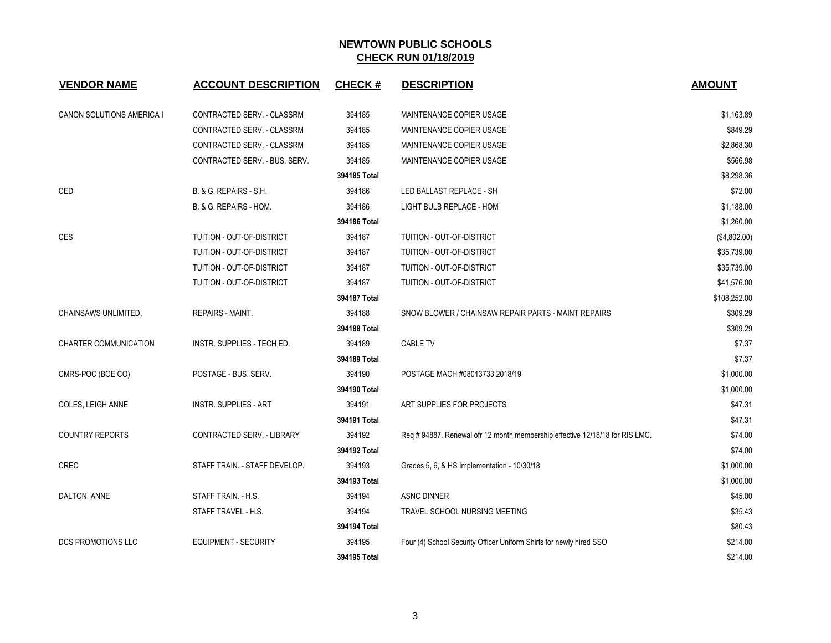| <b>VENDOR NAME</b>        | <b>ACCOUNT DESCRIPTION</b>    | <b>CHECK#</b> | <b>DESCRIPTION</b>                                                           | <b>AMOUNT</b> |
|---------------------------|-------------------------------|---------------|------------------------------------------------------------------------------|---------------|
| CANON SOLUTIONS AMERICA I | CONTRACTED SERV. - CLASSRM    | 394185        | MAINTENANCE COPIER USAGE                                                     | \$1,163.89    |
|                           | CONTRACTED SERV. - CLASSRM    | 394185        | MAINTENANCE COPIER USAGE                                                     | \$849.29      |
|                           | CONTRACTED SERV. - CLASSRM    | 394185        | MAINTENANCE COPIER USAGE                                                     | \$2,868.30    |
|                           | CONTRACTED SERV. - BUS. SERV. | 394185        | MAINTENANCE COPIER USAGE                                                     | \$566.98      |
|                           |                               | 394185 Total  |                                                                              | \$8,298.36    |
| CED                       | B. & G. REPAIRS - S.H.        | 394186        | LED BALLAST REPLACE - SH                                                     | \$72.00       |
|                           | B. & G. REPAIRS - HOM.        | 394186        | LIGHT BULB REPLACE - HOM                                                     | \$1,188.00    |
|                           |                               | 394186 Total  |                                                                              | \$1,260.00    |
| CES                       | TUITION - OUT-OF-DISTRICT     | 394187        | TUITION - OUT-OF-DISTRICT                                                    | (\$4,802.00)  |
|                           | TUITION - OUT-OF-DISTRICT     | 394187        | TUITION - OUT-OF-DISTRICT                                                    | \$35,739.00   |
|                           | TUITION - OUT-OF-DISTRICT     | 394187        | TUITION - OUT-OF-DISTRICT                                                    | \$35,739.00   |
|                           | TUITION - OUT-OF-DISTRICT     | 394187        | TUITION - OUT-OF-DISTRICT                                                    | \$41,576.00   |
|                           |                               | 394187 Total  |                                                                              | \$108,252.00  |
| CHAINSAWS UNLIMITED,      | <b>REPAIRS - MAINT.</b>       | 394188        | SNOW BLOWER / CHAINSAW REPAIR PARTS - MAINT REPAIRS                          | \$309.29      |
|                           |                               | 394188 Total  |                                                                              | \$309.29      |
| CHARTER COMMUNICATION     | INSTR. SUPPLIES - TECH ED.    | 394189        | <b>CABLE TV</b>                                                              | \$7.37        |
|                           |                               | 394189 Total  |                                                                              | \$7.37        |
| CMRS-POC (BOE CO)         | POSTAGE - BUS. SERV.          | 394190        | POSTAGE MACH #08013733 2018/19                                               | \$1,000.00    |
|                           |                               | 394190 Total  |                                                                              | \$1,000.00    |
| COLES, LEIGH ANNE         | <b>INSTR. SUPPLIES - ART</b>  | 394191        | ART SUPPLIES FOR PROJECTS                                                    | \$47.31       |
|                           |                               | 394191 Total  |                                                                              | \$47.31       |
| <b>COUNTRY REPORTS</b>    | CONTRACTED SERV. - LIBRARY    | 394192        | Req # 94887. Renewal ofr 12 month membership effective 12/18/18 for RIS LMC. | \$74.00       |
|                           |                               | 394192 Total  |                                                                              | \$74.00       |
| <b>CREC</b>               | STAFF TRAIN. - STAFF DEVELOP. | 394193        | Grades 5, 6, & HS Implementation - 10/30/18                                  | \$1,000.00    |
|                           |                               | 394193 Total  |                                                                              | \$1,000.00    |
| DALTON, ANNE              | STAFF TRAIN. - H.S.           | 394194        | <b>ASNC DINNER</b>                                                           | \$45.00       |
|                           | STAFF TRAVEL - H.S.           | 394194        | TRAVEL SCHOOL NURSING MEETING                                                | \$35.43       |
|                           |                               | 394194 Total  |                                                                              | \$80.43       |
| <b>DCS PROMOTIONS LLC</b> | <b>EQUIPMENT - SECURITY</b>   | 394195        | Four (4) School Security Officer Uniform Shirts for newly hired SSO          | \$214.00      |
|                           |                               | 394195 Total  |                                                                              | \$214.00      |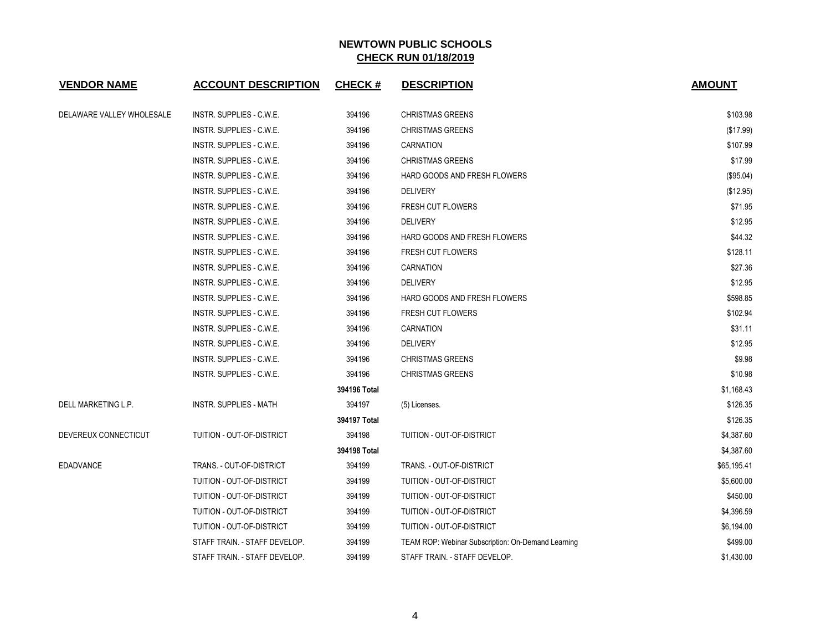| <b>VENDOR NAME</b>        | <b>ACCOUNT DESCRIPTION</b>      | <b>CHECK#</b> | <b>DESCRIPTION</b>                                 | <b>AMOUNT</b> |
|---------------------------|---------------------------------|---------------|----------------------------------------------------|---------------|
| DELAWARE VALLEY WHOLESALE | INSTR. SUPPLIES - C.W.E.        | 394196        | <b>CHRISTMAS GREENS</b>                            | \$103.98      |
|                           | INSTR. SUPPLIES - C.W.E.        | 394196        | <b>CHRISTMAS GREENS</b>                            | (\$17.99)     |
|                           | INSTR. SUPPLIES - C.W.E.        | 394196        | CARNATION                                          | \$107.99      |
|                           | INSTR. SUPPLIES - C.W.E.        | 394196        | <b>CHRISTMAS GREENS</b>                            | \$17.99       |
|                           | INSTR. SUPPLIES - C.W.E.        | 394196        | HARD GOODS AND FRESH FLOWERS                       | (\$95.04)     |
|                           | INSTR. SUPPLIES - C.W.E.        | 394196        | <b>DELIVERY</b>                                    | (\$12.95)     |
|                           | INSTR. SUPPLIES - C.W.E.        | 394196        | FRESH CUT FLOWERS                                  | \$71.95       |
|                           | INSTR. SUPPLIES - C.W.E.        | 394196        | <b>DELIVERY</b>                                    | \$12.95       |
|                           | INSTR. SUPPLIES - C.W.E.        | 394196        | HARD GOODS AND FRESH FLOWERS                       | \$44.32       |
|                           | INSTR. SUPPLIES - C.W.E.        | 394196        | <b>FRESH CUT FLOWERS</b>                           | \$128.11      |
|                           | INSTR. SUPPLIES - C.W.E.        | 394196        | CARNATION                                          | \$27.36       |
|                           | INSTR. SUPPLIES - C.W.E.        | 394196        | <b>DELIVERY</b>                                    | \$12.95       |
|                           | INSTR. SUPPLIES - C.W.E.        | 394196        | HARD GOODS AND FRESH FLOWERS                       | \$598.85      |
|                           | INSTR. SUPPLIES - C.W.E.        | 394196        | FRESH CUT FLOWERS                                  | \$102.94      |
|                           | INSTR. SUPPLIES - C.W.E.        | 394196        | <b>CARNATION</b>                                   | \$31.11       |
|                           | INSTR. SUPPLIES - C.W.E.        | 394196        | <b>DELIVERY</b>                                    | \$12.95       |
|                           | <b>INSTR. SUPPLIES - C.W.E.</b> | 394196        | <b>CHRISTMAS GREENS</b>                            | \$9.98        |
|                           | INSTR. SUPPLIES - C.W.E.        | 394196        | <b>CHRISTMAS GREENS</b>                            | \$10.98       |
|                           |                                 | 394196 Total  |                                                    | \$1,168.43    |
| DELL MARKETING L.P.       | <b>INSTR. SUPPLIES - MATH</b>   | 394197        | (5) Licenses.                                      | \$126.35      |
|                           |                                 | 394197 Total  |                                                    | \$126.35      |
| DEVEREUX CONNECTICUT      | TUITION - OUT-OF-DISTRICT       | 394198        | TUITION - OUT-OF-DISTRICT                          | \$4,387.60    |
|                           |                                 | 394198 Total  |                                                    | \$4,387.60    |
| <b>EDADVANCE</b>          | TRANS. - OUT-OF-DISTRICT        | 394199        | TRANS. - OUT-OF-DISTRICT                           | \$65,195.41   |
|                           | TUITION - OUT-OF-DISTRICT       | 394199        | TUITION - OUT-OF-DISTRICT                          | \$5,600.00    |
|                           | TUITION - OUT-OF-DISTRICT       | 394199        | TUITION - OUT-OF-DISTRICT                          | \$450.00      |
|                           | TUITION - OUT-OF-DISTRICT       | 394199        | TUITION - OUT-OF-DISTRICT                          | \$4,396.59    |
|                           | TUITION - OUT-OF-DISTRICT       | 394199        | TUITION - OUT-OF-DISTRICT                          | \$6,194.00    |
|                           | STAFF TRAIN. - STAFF DEVELOP.   | 394199        | TEAM ROP: Webinar Subscription: On-Demand Learning | \$499.00      |
|                           | STAFF TRAIN. - STAFF DEVELOP.   | 394199        | STAFF TRAIN. - STAFF DEVELOP.                      | \$1,430.00    |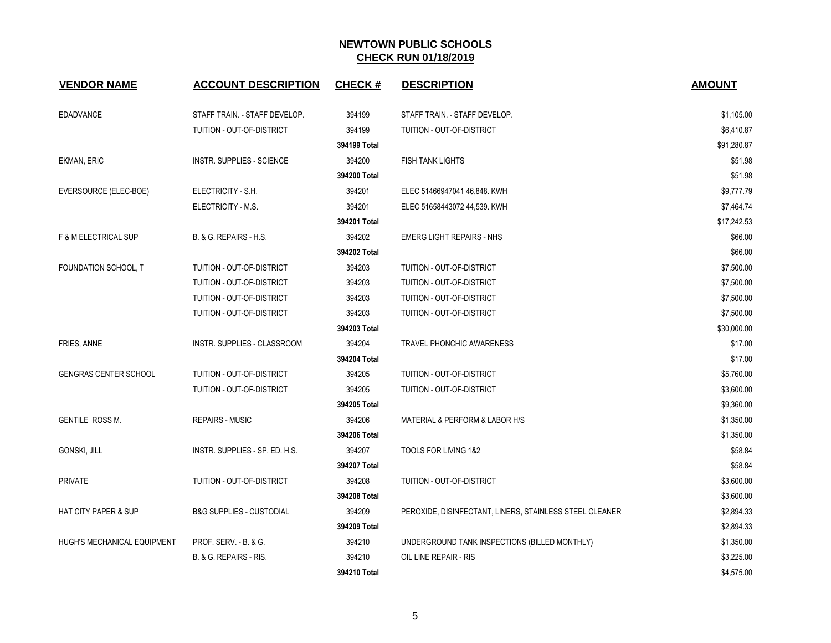| <b>VENDOR NAME</b>              | <b>ACCOUNT DESCRIPTION</b>          | <b>CHECK#</b> | <b>DESCRIPTION</b>                                      | <b>AMOUNT</b> |
|---------------------------------|-------------------------------------|---------------|---------------------------------------------------------|---------------|
| <b>EDADVANCE</b>                | STAFF TRAIN. - STAFF DEVELOP.       | 394199        | STAFF TRAIN. - STAFF DEVELOP.                           | \$1,105.00    |
|                                 | TUITION - OUT-OF-DISTRICT           | 394199        | TUITION - OUT-OF-DISTRICT                               | \$6,410.87    |
|                                 |                                     | 394199 Total  |                                                         | \$91,280.87   |
| <b>EKMAN, ERIC</b>              | INSTR. SUPPLIES - SCIENCE           | 394200        | <b>FISH TANK LIGHTS</b>                                 | \$51.98       |
|                                 |                                     | 394200 Total  |                                                         | \$51.98       |
| EVERSOURCE (ELEC-BOE)           | ELECTRICITY - S.H.                  | 394201        | ELEC 51466947041 46,848. KWH                            | \$9,777.79    |
|                                 | ELECTRICITY - M.S.                  | 394201        | ELEC 51658443072 44,539. KWH                            | \$7,464.74    |
|                                 |                                     | 394201 Total  |                                                         | \$17,242.53   |
| F & M ELECTRICAL SUP            | B. & G. REPAIRS - H.S.              | 394202        | <b>EMERG LIGHT REPAIRS - NHS</b>                        | \$66.00       |
|                                 |                                     | 394202 Total  |                                                         | \$66.00       |
| FOUNDATION SCHOOL, T            | TUITION - OUT-OF-DISTRICT           | 394203        | TUITION - OUT-OF-DISTRICT                               | \$7,500.00    |
|                                 | TUITION - OUT-OF-DISTRICT           | 394203        | TUITION - OUT-OF-DISTRICT                               | \$7,500.00    |
|                                 | TUITION - OUT-OF-DISTRICT           | 394203        | TUITION - OUT-OF-DISTRICT                               | \$7,500.00    |
|                                 | TUITION - OUT-OF-DISTRICT           | 394203        | TUITION - OUT-OF-DISTRICT                               | \$7,500.00    |
|                                 |                                     | 394203 Total  |                                                         | \$30,000.00   |
| FRIES, ANNE                     | INSTR. SUPPLIES - CLASSROOM         | 394204        | <b>TRAVEL PHONCHIC AWARENESS</b>                        | \$17.00       |
|                                 |                                     | 394204 Total  |                                                         | \$17.00       |
| <b>GENGRAS CENTER SCHOOL</b>    | TUITION - OUT-OF-DISTRICT           | 394205        | TUITION - OUT-OF-DISTRICT                               | \$5,760.00    |
|                                 | TUITION - OUT-OF-DISTRICT           | 394205        | TUITION - OUT-OF-DISTRICT                               | \$3,600.00    |
|                                 |                                     | 394205 Total  |                                                         | \$9,360.00    |
| <b>GENTILE ROSS M.</b>          | <b>REPAIRS - MUSIC</b>              | 394206        | MATERIAL & PERFORM & LABOR H/S                          | \$1,350.00    |
|                                 |                                     | 394206 Total  |                                                         | \$1,350.00    |
| <b>GONSKI, JILL</b>             | INSTR. SUPPLIES - SP. ED. H.S.      | 394207        | TOOLS FOR LIVING 1&2                                    | \$58.84       |
|                                 |                                     | 394207 Total  |                                                         | \$58.84       |
| <b>PRIVATE</b>                  | TUITION - OUT-OF-DISTRICT           | 394208        | TUITION - OUT-OF-DISTRICT                               | \$3,600.00    |
|                                 |                                     | 394208 Total  |                                                         | \$3,600.00    |
| <b>HAT CITY PAPER &amp; SUP</b> | <b>B&amp;G SUPPLIES - CUSTODIAL</b> | 394209        | PEROXIDE, DISINFECTANT, LINERS, STAINLESS STEEL CLEANER | \$2,894.33    |
|                                 |                                     | 394209 Total  |                                                         | \$2,894.33    |
| HUGH'S MECHANICAL EQUIPMENT     | PROF. SERV. - B. & G.               | 394210        | UNDERGROUND TANK INSPECTIONS (BILLED MONTHLY)           | \$1,350.00    |
|                                 | B. & G. REPAIRS - RIS.              | 394210        | OIL LINE REPAIR - RIS                                   | \$3,225.00    |
|                                 |                                     | 394210 Total  |                                                         | \$4,575.00    |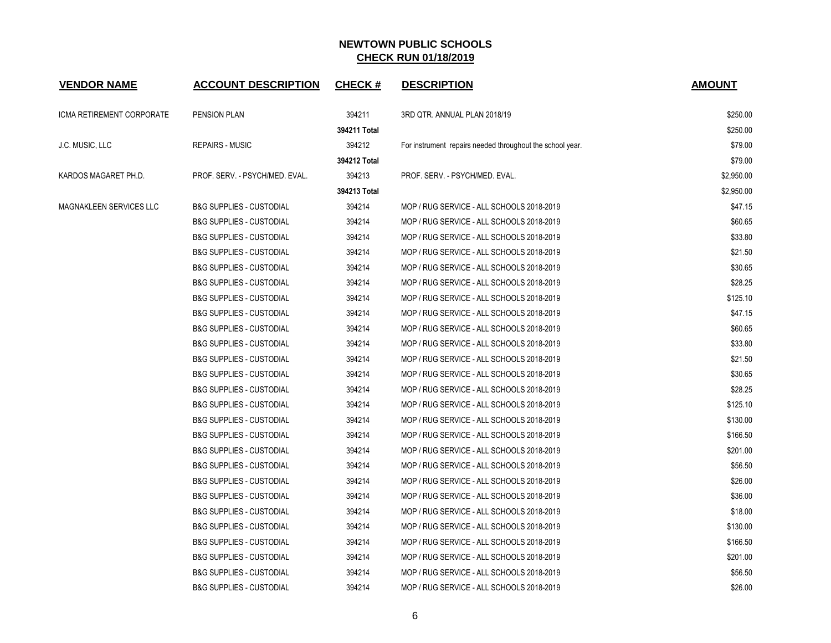| <b>VENDOR NAME</b>        | <b>ACCOUNT DESCRIPTION</b>          | <b>CHECK#</b> | <b>DESCRIPTION</b>                                        | <b>AMOUNT</b> |
|---------------------------|-------------------------------------|---------------|-----------------------------------------------------------|---------------|
| ICMA RETIREMENT CORPORATE | <b>PENSION PLAN</b>                 | 394211        | 3RD QTR. ANNUAL PLAN 2018/19                              | \$250.00      |
|                           |                                     | 394211 Total  |                                                           | \$250.00      |
| J.C. MUSIC, LLC           | <b>REPAIRS - MUSIC</b>              | 394212        | For instrument repairs needed throughout the school year. | \$79.00       |
|                           |                                     | 394212 Total  |                                                           | \$79.00       |
| KARDOS MAGARET PH.D.      | PROF. SERV. - PSYCH/MED. EVAL.      | 394213        | PROF. SERV. - PSYCH/MED. EVAL.                            | \$2,950.00    |
|                           |                                     | 394213 Total  |                                                           | \$2,950.00    |
| MAGNAKLEEN SERVICES LLC   | <b>B&amp;G SUPPLIES - CUSTODIAL</b> | 394214        | MOP / RUG SERVICE - ALL SCHOOLS 2018-2019                 | \$47.15       |
|                           | <b>B&amp;G SUPPLIES - CUSTODIAL</b> | 394214        | MOP / RUG SERVICE - ALL SCHOOLS 2018-2019                 | \$60.65       |
|                           | <b>B&amp;G SUPPLIES - CUSTODIAL</b> | 394214        | MOP / RUG SERVICE - ALL SCHOOLS 2018-2019                 | \$33.80       |
|                           | <b>B&amp;G SUPPLIES - CUSTODIAL</b> | 394214        | MOP / RUG SERVICE - ALL SCHOOLS 2018-2019                 | \$21.50       |
|                           | <b>B&amp;G SUPPLIES - CUSTODIAL</b> | 394214        | MOP / RUG SERVICE - ALL SCHOOLS 2018-2019                 | \$30.65       |
|                           | <b>B&amp;G SUPPLIES - CUSTODIAL</b> | 394214        | MOP / RUG SERVICE - ALL SCHOOLS 2018-2019                 | \$28.25       |
|                           | <b>B&amp;G SUPPLIES - CUSTODIAL</b> | 394214        | MOP / RUG SERVICE - ALL SCHOOLS 2018-2019                 | \$125.10      |
|                           | <b>B&amp;G SUPPLIES - CUSTODIAL</b> | 394214        | MOP / RUG SERVICE - ALL SCHOOLS 2018-2019                 | \$47.15       |
|                           | <b>B&amp;G SUPPLIES - CUSTODIAL</b> | 394214        | MOP / RUG SERVICE - ALL SCHOOLS 2018-2019                 | \$60.65       |
|                           | <b>B&amp;G SUPPLIES - CUSTODIAL</b> | 394214        | MOP / RUG SERVICE - ALL SCHOOLS 2018-2019                 | \$33.80       |
|                           | <b>B&amp;G SUPPLIES - CUSTODIAL</b> | 394214        | MOP / RUG SERVICE - ALL SCHOOLS 2018-2019                 | \$21.50       |
|                           | <b>B&amp;G SUPPLIES - CUSTODIAL</b> | 394214        | MOP / RUG SERVICE - ALL SCHOOLS 2018-2019                 | \$30.65       |
|                           | <b>B&amp;G SUPPLIES - CUSTODIAL</b> | 394214        | MOP / RUG SERVICE - ALL SCHOOLS 2018-2019                 | \$28.25       |
|                           | <b>B&amp;G SUPPLIES - CUSTODIAL</b> | 394214        | MOP / RUG SERVICE - ALL SCHOOLS 2018-2019                 | \$125.10      |
|                           | <b>B&amp;G SUPPLIES - CUSTODIAL</b> | 394214        | MOP / RUG SERVICE - ALL SCHOOLS 2018-2019                 | \$130.00      |
|                           | <b>B&amp;G SUPPLIES - CUSTODIAL</b> | 394214        | MOP / RUG SERVICE - ALL SCHOOLS 2018-2019                 | \$166.50      |
|                           | <b>B&amp;G SUPPLIES - CUSTODIAL</b> | 394214        | MOP / RUG SERVICE - ALL SCHOOLS 2018-2019                 | \$201.00      |
|                           | <b>B&amp;G SUPPLIES - CUSTODIAL</b> | 394214        | MOP / RUG SERVICE - ALL SCHOOLS 2018-2019                 | \$56.50       |
|                           | <b>B&amp;G SUPPLIES - CUSTODIAL</b> | 394214        | MOP / RUG SERVICE - ALL SCHOOLS 2018-2019                 | \$26.00       |
|                           | <b>B&amp;G SUPPLIES - CUSTODIAL</b> | 394214        | MOP / RUG SERVICE - ALL SCHOOLS 2018-2019                 | \$36.00       |
|                           | <b>B&amp;G SUPPLIES - CUSTODIAL</b> | 394214        | MOP / RUG SERVICE - ALL SCHOOLS 2018-2019                 | \$18.00       |
|                           | <b>B&amp;G SUPPLIES - CUSTODIAL</b> | 394214        | MOP / RUG SERVICE - ALL SCHOOLS 2018-2019                 | \$130.00      |
|                           | <b>B&amp;G SUPPLIES - CUSTODIAL</b> | 394214        | MOP / RUG SERVICE - ALL SCHOOLS 2018-2019                 | \$166.50      |
|                           | <b>B&amp;G SUPPLIES - CUSTODIAL</b> | 394214        | MOP / RUG SERVICE - ALL SCHOOLS 2018-2019                 | \$201.00      |
|                           | <b>B&amp;G SUPPLIES - CUSTODIAL</b> | 394214        | MOP / RUG SERVICE - ALL SCHOOLS 2018-2019                 | \$56.50       |
|                           | <b>B&amp;G SUPPLIES - CUSTODIAL</b> | 394214        | MOP / RUG SERVICE - ALL SCHOOLS 2018-2019                 | \$26.00       |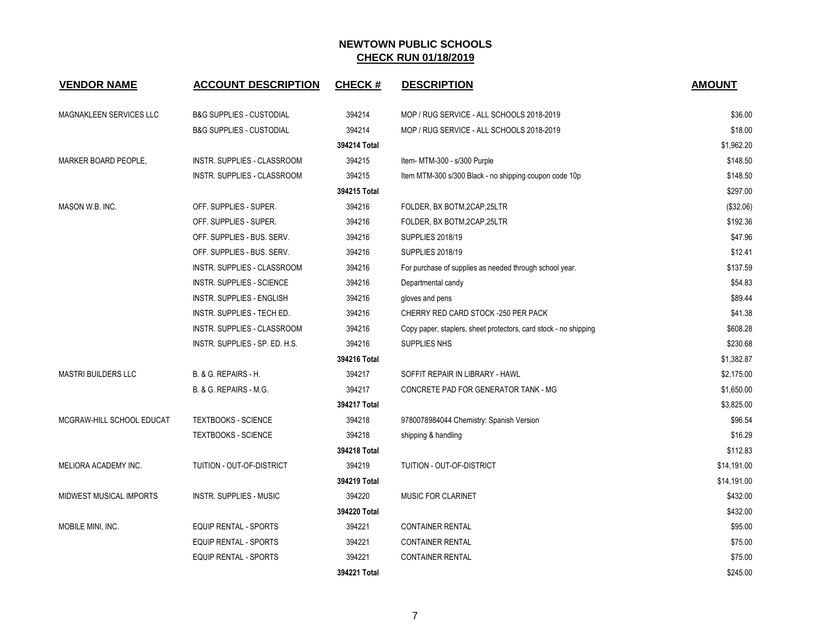| <b>VENDOR NAME</b>         | <b>ACCOUNT DESCRIPTION</b>          | <b>CHECK#</b> | <b>DESCRIPTION</b>                                               | <b>AMOUNT</b> |
|----------------------------|-------------------------------------|---------------|------------------------------------------------------------------|---------------|
| MAGNAKLEEN SERVICES LLC    | <b>B&amp;G SUPPLIES - CUSTODIAL</b> | 394214        | MOP / RUG SERVICE - ALL SCHOOLS 2018-2019                        | \$36.00       |
|                            | <b>B&amp;G SUPPLIES - CUSTODIAL</b> | 394214        | MOP / RUG SERVICE - ALL SCHOOLS 2018-2019                        | \$18.00       |
|                            |                                     | 394214 Total  |                                                                  | \$1,962.20    |
| MARKER BOARD PEOPLE,       | INSTR. SUPPLIES - CLASSROOM         | 394215        | Item- MTM-300 - s/300 Purple                                     | \$148.50      |
|                            | INSTR. SUPPLIES - CLASSROOM         | 394215        | Item MTM-300 s/300 Black - no shipping coupon code 10p           | \$148.50      |
|                            |                                     | 394215 Total  |                                                                  | \$297.00      |
| MASON W.B. INC.            | OFF. SUPPLIES - SUPER.              | 394216        | FOLDER, BX BOTM, 2CAP, 25LTR                                     | (\$32.06)     |
|                            | OFF. SUPPLIES - SUPER.              | 394216        | FOLDER, BX BOTM, 2CAP, 25LTR                                     | \$192.36      |
|                            | OFF. SUPPLIES - BUS. SERV.          | 394216        | <b>SUPPLIES 2018/19</b>                                          | \$47.96       |
|                            | OFF. SUPPLIES - BUS. SERV.          | 394216        | <b>SUPPLIES 2018/19</b>                                          | \$12.41       |
|                            | INSTR. SUPPLIES - CLASSROOM         | 394216        | For purchase of supplies as needed through school year.          | \$137.59      |
|                            | INSTR. SUPPLIES - SCIENCE           | 394216        | Departmental candy                                               | \$54.83       |
|                            | INSTR. SUPPLIES - ENGLISH           | 394216        | gloves and pens                                                  | \$89.44       |
|                            | INSTR. SUPPLIES - TECH ED.          | 394216        | CHERRY RED CARD STOCK -250 PER PACK                              | \$41.38       |
|                            | INSTR. SUPPLIES - CLASSROOM         | 394216        | Copy paper, staplers, sheet protectors, card stock - no shipping | \$608.28      |
|                            | INSTR. SUPPLIES - SP. ED. H.S.      | 394216        | SUPPLIES NHS                                                     | \$230.68      |
|                            |                                     | 394216 Total  |                                                                  | \$1,382.87    |
| <b>MASTRI BUILDERS LLC</b> | B. & G. REPAIRS - H.                | 394217        | SOFFIT REPAIR IN LIBRARY - HAWL                                  | \$2,175.00    |
|                            | B. & G. REPAIRS - M.G.              | 394217        | CONCRETE PAD FOR GENERATOR TANK - MG                             | \$1,650.00    |
|                            |                                     | 394217 Total  |                                                                  | \$3,825.00    |
| MCGRAW-HILL SCHOOL EDUCAT  | <b>TEXTBOOKS - SCIENCE</b>          | 394218        | 9780078984044 Chemistry: Spanish Version                         | \$96.54       |
|                            | <b>TEXTBOOKS - SCIENCE</b>          | 394218        | shipping & handling                                              | \$16.29       |
|                            |                                     | 394218 Total  |                                                                  | \$112.83      |
| MELIORA ACADEMY INC.       | TUITION - OUT-OF-DISTRICT           | 394219        | TUITION - OUT-OF-DISTRICT                                        | \$14,191.00   |
|                            |                                     | 394219 Total  |                                                                  | \$14,191.00   |
| MIDWEST MUSICAL IMPORTS    | <b>INSTR. SUPPLIES - MUSIC</b>      | 394220        | <b>MUSIC FOR CLARINET</b>                                        | \$432.00      |
|                            |                                     | 394220 Total  |                                                                  | \$432.00      |
| MOBILE MINI, INC.          | <b>EQUIP RENTAL - SPORTS</b>        | 394221        | <b>CONTAINER RENTAL</b>                                          | \$95.00       |
|                            | <b>EQUIP RENTAL - SPORTS</b>        | 394221        | <b>CONTAINER RENTAL</b>                                          | \$75.00       |
|                            | EQUIP RENTAL - SPORTS               | 394221        | <b>CONTAINER RENTAL</b>                                          | \$75.00       |
|                            |                                     | 394221 Total  |                                                                  | \$245.00      |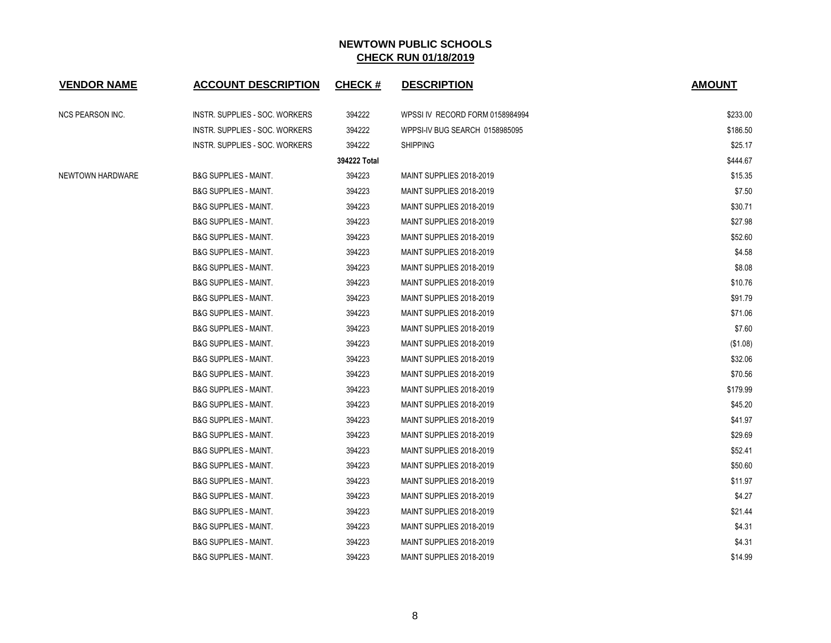| <b>VENDOR NAME</b> | <b>ACCOUNT DESCRIPTION</b>       | <b>CHECK#</b> | <b>DESCRIPTION</b>              | <b>AMOUNT</b> |
|--------------------|----------------------------------|---------------|---------------------------------|---------------|
| NCS PEARSON INC.   | INSTR. SUPPLIES - SOC. WORKERS   | 394222        | WPSSI IV RECORD FORM 0158984994 | \$233.00      |
|                    | INSTR. SUPPLIES - SOC. WORKERS   | 394222        | WPPSI-IV BUG SEARCH 0158985095  | \$186.50      |
|                    | INSTR. SUPPLIES - SOC. WORKERS   | 394222        | <b>SHIPPING</b>                 | \$25.17       |
|                    |                                  | 394222 Total  |                                 | \$444.67      |
| NEWTOWN HARDWARE   | <b>B&amp;G SUPPLIES - MAINT.</b> | 394223        | MAINT SUPPLIES 2018-2019        | \$15.35       |
|                    | <b>B&amp;G SUPPLIES - MAINT.</b> | 394223        | MAINT SUPPLIES 2018-2019        | \$7.50        |
|                    | <b>B&amp;G SUPPLIES - MAINT.</b> | 394223        | MAINT SUPPLIES 2018-2019        | \$30.71       |
|                    | <b>B&amp;G SUPPLIES - MAINT.</b> | 394223        | MAINT SUPPLIES 2018-2019        | \$27.98       |
|                    | <b>B&amp;G SUPPLIES - MAINT.</b> | 394223        | MAINT SUPPLIES 2018-2019        | \$52.60       |
|                    | <b>B&amp;G SUPPLIES - MAINT.</b> | 394223        | MAINT SUPPLIES 2018-2019        | \$4.58        |
|                    | <b>B&amp;G SUPPLIES - MAINT.</b> | 394223        | MAINT SUPPLIES 2018-2019        | \$8.08        |
|                    | <b>B&amp;G SUPPLIES - MAINT.</b> | 394223        | MAINT SUPPLIES 2018-2019        | \$10.76       |
|                    | B&G SUPPLIES - MAINT.            | 394223        | MAINT SUPPLIES 2018-2019        | \$91.79       |
|                    | <b>B&amp;G SUPPLIES - MAINT.</b> | 394223        | MAINT SUPPLIES 2018-2019        | \$71.06       |
|                    | <b>B&amp;G SUPPLIES - MAINT.</b> | 394223        | MAINT SUPPLIES 2018-2019        | \$7.60        |
|                    | <b>B&amp;G SUPPLIES - MAINT.</b> | 394223        | MAINT SUPPLIES 2018-2019        | (\$1.08)      |
|                    | <b>B&amp;G SUPPLIES - MAINT.</b> | 394223        | MAINT SUPPLIES 2018-2019        | \$32.06       |
|                    | <b>B&amp;G SUPPLIES - MAINT.</b> | 394223        | MAINT SUPPLIES 2018-2019        | \$70.56       |
|                    | <b>B&amp;G SUPPLIES - MAINT.</b> | 394223        | MAINT SUPPLIES 2018-2019        | \$179.99      |
|                    | <b>B&amp;G SUPPLIES - MAINT.</b> | 394223        | MAINT SUPPLIES 2018-2019        | \$45.20       |
|                    | <b>B&amp;G SUPPLIES - MAINT.</b> | 394223        | MAINT SUPPLIES 2018-2019        | \$41.97       |
|                    | <b>B&amp;G SUPPLIES - MAINT.</b> | 394223        | MAINT SUPPLIES 2018-2019        | \$29.69       |
|                    | <b>B&amp;G SUPPLIES - MAINT.</b> | 394223        | MAINT SUPPLIES 2018-2019        | \$52.41       |
|                    | <b>B&amp;G SUPPLIES - MAINT.</b> | 394223        | MAINT SUPPLIES 2018-2019        | \$50.60       |
|                    | <b>B&amp;G SUPPLIES - MAINT.</b> | 394223        | MAINT SUPPLIES 2018-2019        | \$11.97       |
|                    | <b>B&amp;G SUPPLIES - MAINT.</b> | 394223        | MAINT SUPPLIES 2018-2019        | \$4.27        |
|                    | <b>B&amp;G SUPPLIES - MAINT.</b> | 394223        | MAINT SUPPLIES 2018-2019        | \$21.44       |
|                    | <b>B&amp;G SUPPLIES - MAINT.</b> | 394223        | MAINT SUPPLIES 2018-2019        | \$4.31        |
|                    | <b>B&amp;G SUPPLIES - MAINT.</b> | 394223        | MAINT SUPPLIES 2018-2019        | \$4.31        |
|                    | <b>B&amp;G SUPPLIES - MAINT.</b> | 394223        | MAINT SUPPLIES 2018-2019        | \$14.99       |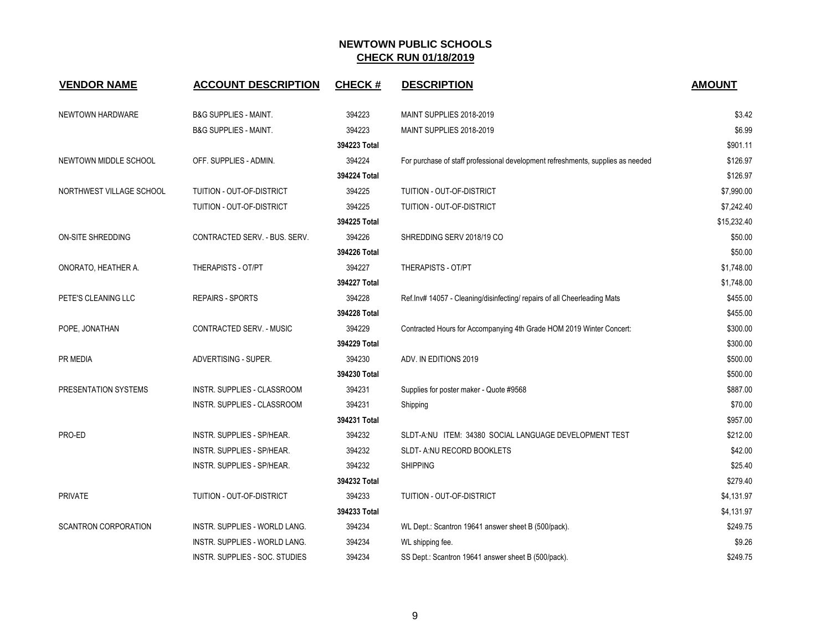| <b>VENDOR NAME</b>          | <b>ACCOUNT DESCRIPTION</b>         | <b>CHECK#</b> | <b>DESCRIPTION</b>                                                              | <b>AMOUNT</b> |
|-----------------------------|------------------------------------|---------------|---------------------------------------------------------------------------------|---------------|
| NEWTOWN HARDWARE            | <b>B&amp;G SUPPLIES - MAINT.</b>   | 394223        | MAINT SUPPLIES 2018-2019                                                        | \$3.42        |
|                             | <b>B&amp;G SUPPLIES - MAINT.</b>   | 394223        | MAINT SUPPLIES 2018-2019                                                        | \$6.99        |
|                             |                                    | 394223 Total  |                                                                                 | \$901.11      |
| NEWTOWN MIDDLE SCHOOL       | OFF. SUPPLIES - ADMIN.             | 394224        | For purchase of staff professional development refreshments, supplies as needed | \$126.97      |
|                             |                                    | 394224 Total  |                                                                                 | \$126.97      |
| NORTHWEST VILLAGE SCHOOL    | TUITION - OUT-OF-DISTRICT          | 394225        | <b>TUITION - OUT-OF-DISTRICT</b>                                                | \$7,990.00    |
|                             | TUITION - OUT-OF-DISTRICT          | 394225        | TUITION - OUT-OF-DISTRICT                                                       | \$7,242.40    |
|                             |                                    | 394225 Total  |                                                                                 | \$15,232.40   |
| <b>ON-SITE SHREDDING</b>    | CONTRACTED SERV. - BUS. SERV.      | 394226        | SHREDDING SERV 2018/19 CO                                                       | \$50.00       |
|                             |                                    | 394226 Total  |                                                                                 | \$50.00       |
| ONORATO, HEATHER A.         | <b>THERAPISTS - OT/PT</b>          | 394227        | THERAPISTS - OT/PT                                                              | \$1,748.00    |
|                             |                                    | 394227 Total  |                                                                                 | \$1,748.00    |
| PETE'S CLEANING LLC         | <b>REPAIRS - SPORTS</b>            | 394228        | Ref.Inv# 14057 - Cleaning/disinfecting/ repairs of all Cheerleading Mats        | \$455.00      |
|                             |                                    | 394228 Total  |                                                                                 | \$455.00      |
| POPE, JONATHAN              | CONTRACTED SERV. - MUSIC           | 394229        | Contracted Hours for Accompanying 4th Grade HOM 2019 Winter Concert:            | \$300.00      |
|                             |                                    | 394229 Total  |                                                                                 | \$300.00      |
| PR MEDIA                    | ADVERTISING - SUPER.               | 394230        | ADV. IN EDITIONS 2019                                                           | \$500.00      |
|                             |                                    | 394230 Total  |                                                                                 | \$500.00      |
| PRESENTATION SYSTEMS        | INSTR. SUPPLIES - CLASSROOM        | 394231        | Supplies for poster maker - Quote #9568                                         | \$887.00      |
|                             | <b>INSTR. SUPPLIES - CLASSROOM</b> | 394231        | Shipping                                                                        | \$70.00       |
|                             |                                    | 394231 Total  |                                                                                 | \$957.00      |
| PRO-ED                      | <b>INSTR. SUPPLIES - SP/HEAR.</b>  | 394232        | SLDT-A:NU ITEM: 34380 SOCIAL LANGUAGE DEVELOPMENT TEST                          | \$212.00      |
|                             | INSTR. SUPPLIES - SP/HEAR.         | 394232        | SLDT- A:NU RECORD BOOKLETS                                                      | \$42.00       |
|                             | INSTR. SUPPLIES - SP/HEAR.         | 394232        | <b>SHIPPING</b>                                                                 | \$25.40       |
|                             |                                    | 394232 Total  |                                                                                 | \$279.40      |
| <b>PRIVATE</b>              | TUITION - OUT-OF-DISTRICT          | 394233        | TUITION - OUT-OF-DISTRICT                                                       | \$4,131.97    |
|                             |                                    | 394233 Total  |                                                                                 | \$4,131.97    |
| <b>SCANTRON CORPORATION</b> | INSTR. SUPPLIES - WORLD LANG.      | 394234        | WL Dept.: Scantron 19641 answer sheet B (500/pack).                             | \$249.75      |
|                             | INSTR. SUPPLIES - WORLD LANG.      | 394234        | WL shipping fee.                                                                | \$9.26        |
|                             | INSTR. SUPPLIES - SOC. STUDIES     | 394234        | SS Dept.: Scantron 19641 answer sheet B (500/pack).                             | \$249.75      |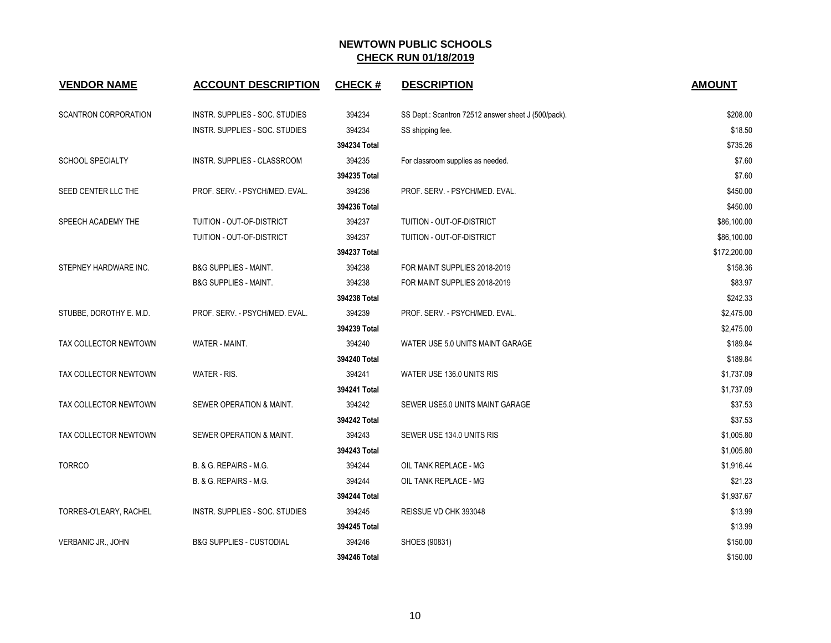| <b>VENDOR NAME</b>      | <b>ACCOUNT DESCRIPTION</b>          | <b>CHECK#</b> | <b>DESCRIPTION</b>                                  | <b>AMOUNT</b> |
|-------------------------|-------------------------------------|---------------|-----------------------------------------------------|---------------|
| SCANTRON CORPORATION    | INSTR. SUPPLIES - SOC. STUDIES      | 394234        | SS Dept.: Scantron 72512 answer sheet J (500/pack). | \$208.00      |
|                         | INSTR. SUPPLIES - SOC. STUDIES      | 394234        | SS shipping fee.                                    | \$18.50       |
|                         |                                     | 394234 Total  |                                                     | \$735.26      |
| <b>SCHOOL SPECIALTY</b> | INSTR. SUPPLIES - CLASSROOM         | 394235        | For classroom supplies as needed.                   | \$7.60        |
|                         |                                     | 394235 Total  |                                                     | \$7.60        |
| SEED CENTER LLC THE     | PROF. SERV. - PSYCH/MED. EVAL.      | 394236        | PROF. SERV. - PSYCH/MED. EVAL.                      | \$450.00      |
|                         |                                     | 394236 Total  |                                                     | \$450.00      |
| SPEECH ACADEMY THE      | TUITION - OUT-OF-DISTRICT           | 394237        | TUITION - OUT-OF-DISTRICT                           | \$86,100.00   |
|                         | TUITION - OUT-OF-DISTRICT           | 394237        | TUITION - OUT-OF-DISTRICT                           | \$86,100.00   |
|                         |                                     | 394237 Total  |                                                     | \$172,200.00  |
| STEPNEY HARDWARE INC.   | <b>B&amp;G SUPPLIES - MAINT.</b>    | 394238        | FOR MAINT SUPPLIES 2018-2019                        | \$158.36      |
|                         | <b>B&amp;G SUPPLIES - MAINT.</b>    | 394238        | FOR MAINT SUPPLIES 2018-2019                        | \$83.97       |
|                         |                                     | 394238 Total  |                                                     | \$242.33      |
| STUBBE, DOROTHY E. M.D. | PROF. SERV. - PSYCH/MED. EVAL.      | 394239        | PROF. SERV. - PSYCH/MED. EVAL.                      | \$2,475.00    |
|                         |                                     | 394239 Total  |                                                     | \$2,475.00    |
| TAX COLLECTOR NEWTOWN   | WATER - MAINT.                      | 394240        | WATER USE 5.0 UNITS MAINT GARAGE                    | \$189.84      |
|                         |                                     | 394240 Total  |                                                     | \$189.84      |
| TAX COLLECTOR NEWTOWN   | WATER - RIS.                        | 394241        | WATER USE 136.0 UNITS RIS                           | \$1,737.09    |
|                         |                                     | 394241 Total  |                                                     | \$1,737.09    |
| TAX COLLECTOR NEWTOWN   | SEWER OPERATION & MAINT.            | 394242        | SEWER USE5.0 UNITS MAINT GARAGE                     | \$37.53       |
|                         |                                     | 394242 Total  |                                                     | \$37.53       |
| TAX COLLECTOR NEWTOWN   | SEWER OPERATION & MAINT.            | 394243        | SEWER USE 134.0 UNITS RIS                           | \$1,005.80    |
|                         |                                     | 394243 Total  |                                                     | \$1,005.80    |
| <b>TORRCO</b>           | B. & G. REPAIRS - M.G.              | 394244        | OIL TANK REPLACE - MG                               | \$1,916.44    |
|                         | B. & G. REPAIRS - M.G.              | 394244        | OIL TANK REPLACE - MG                               | \$21.23       |
|                         |                                     | 394244 Total  |                                                     | \$1,937.67    |
| TORRES-O'LEARY, RACHEL  | INSTR. SUPPLIES - SOC. STUDIES      | 394245        | REISSUE VD CHK 393048                               | \$13.99       |
|                         |                                     | 394245 Total  |                                                     | \$13.99       |
| VERBANIC JR., JOHN      | <b>B&amp;G SUPPLIES - CUSTODIAL</b> | 394246        | SHOES (90831)                                       | \$150.00      |
|                         |                                     | 394246 Total  |                                                     | \$150.00      |